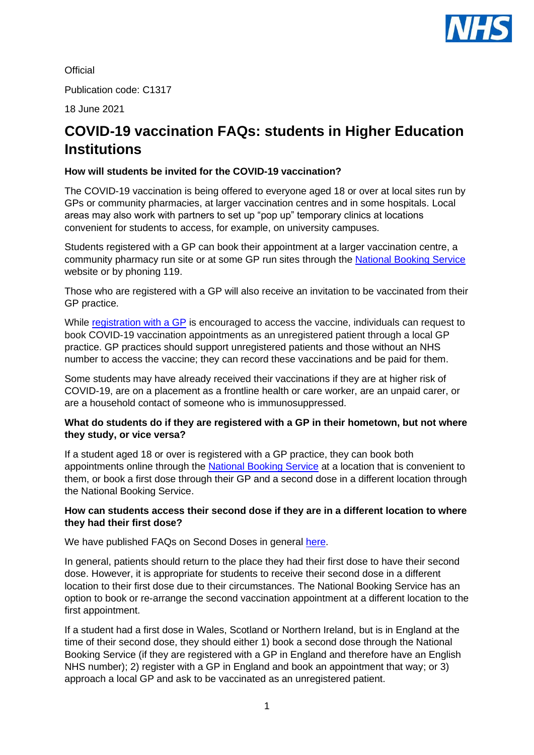

**Official** 

Publication code: C1317

18 June 2021

# **COVID-19 vaccination FAQs: students in Higher Education Institutions**

# **How will students be invited for the COVID-19 vaccination?**

The COVID-19 vaccination is being offered to everyone aged 18 or over at local sites run by GPs or community pharmacies, at larger vaccination centres and in some hospitals. Local areas may also work with partners to set up "pop up" temporary clinics at locations convenient for students to access, for example, on university campuses.

Students registered with a GP can book their appointment at a larger vaccination centre, a community pharmacy run site or at some GP run sites through the [National Booking Service](https://www.nhs.uk/conditions/coronavirus-covid-19/coronavirus-vaccination/book-coronavirus-vaccination/) website or by phoning 119.

Those who are registered with a GP will also receive an invitation to be vaccinated from their GP practice.

While [registration with a GP](https://www.nhs.uk/nhs-services/gps/how-to-register-with-a-gp-surgery/) is encouraged to access the vaccine, individuals can request to book COVID-19 vaccination appointments as an unregistered patient through a local GP practice. GP practices should support unregistered patients and those without an NHS number to access the vaccine; they can record these vaccinations and be paid for them.

Some students may have already received their vaccinations if they are at higher risk of COVID-19, are on a placement as a frontline health or care worker, are an unpaid carer, or are a household contact of someone who is immunosuppressed.

# **What do students do if they are registered with a GP in their hometown, but not where they study, or vice versa?**

If a student aged 18 or over is registered with a GP practice, they can book both appointments online through the [National Booking Service](https://www.nhs.uk/conditions/coronavirus-covid-19/coronavirus-vaccination/book-coronavirus-vaccination/) at a location that is convenient to them, or book a first dose through their GP and a second dose in a different location through the National Booking Service.

# **How can students access their second dose if they are in a different location to where they had their first dose?**

We have published FAQs on Second Doses in general [here.](https://www.england.nhs.uk/coronavirus/publication/covid-19-vaccination-programme-faqs-on-second-doses/)

In general, patients should return to the place they had their first dose to have their second dose. However, it is appropriate for students to receive their second dose in a different location to their first dose due to their circumstances. The National Booking Service has an option to book or re-arrange the second vaccination appointment at a different location to the first appointment.

If a student had a first dose in Wales, Scotland or Northern Ireland, but is in England at the time of their second dose, they should either 1) book a second dose through the National Booking Service (if they are registered with a GP in England and therefore have an English NHS number); 2) register with a GP in England and book an appointment that way; or 3) approach a local GP and ask to be vaccinated as an unregistered patient.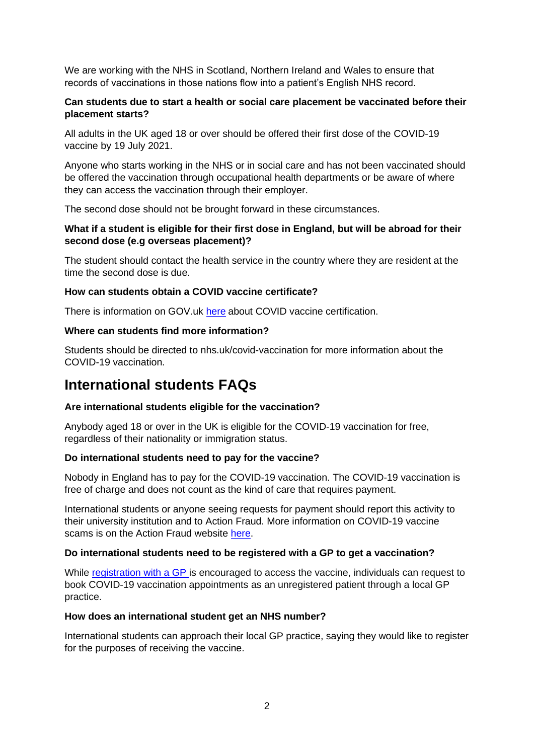We are working with the NHS in Scotland, Northern Ireland and Wales to ensure that records of vaccinations in those nations flow into a patient's English NHS record.

# **Can students due to start a health or social care placement be vaccinated before their placement starts?**

All adults in the UK aged 18 or over should be offered their first dose of the COVID-19 vaccine by 19 July 2021.

Anyone who starts working in the NHS or in social care and has not been vaccinated should be offered the vaccination through occupational health departments or be aware of where they can access the vaccination through their employer.

The second dose should not be brought forward in these circumstances.

# **What if a student is eligible for their first dose in England, but will be abroad for their second dose (e.g overseas placement)?**

The student should contact the health service in the country where they are resident at the time the second dose is due.

## **How can students obtain a COVID vaccine certificate?**

There is information on GOV.uk [here](https://www.gov.uk/guidance/demonstrating-your-covid-19-vaccination-status-when-travelling-abroad) about COVID vaccine certification.

#### **Where can students find more information?**

Students should be directed to nhs.uk/covid-vaccination for more information about the COVID-19 vaccination.

# **International students FAQs**

#### **Are international students eligible for the vaccination?**

Anybody aged 18 or over in the UK is eligible for the COVID-19 vaccination for free, regardless of their nationality or immigration status.

#### **Do international students need to pay for the vaccine?**

Nobody in England has to pay for the COVID-19 vaccination. The COVID-19 vaccination is free of charge and does not count as the kind of care that requires payment.

International students or anyone seeing requests for payment should report this activity to their university institution and to Action Fraud. More information on COVID-19 vaccine scams is on the Action Fraud website [here.](https://www.actionfraud.police.uk/alert/coronavirus-vaccine-scams-warning)

#### **Do international students need to be registered with a GP to get a vaccination?**

While [registration with a GP](https://www.nhs.uk/nhs-services/gps/how-to-register-with-a-gp-surgery/) is encouraged to access the vaccine, individuals can request to book COVID-19 vaccination appointments as an unregistered patient through a local GP practice.

#### **How does an international student get an NHS number?**

International students can approach their local GP practice, saying they would like to register for the purposes of receiving the vaccine.